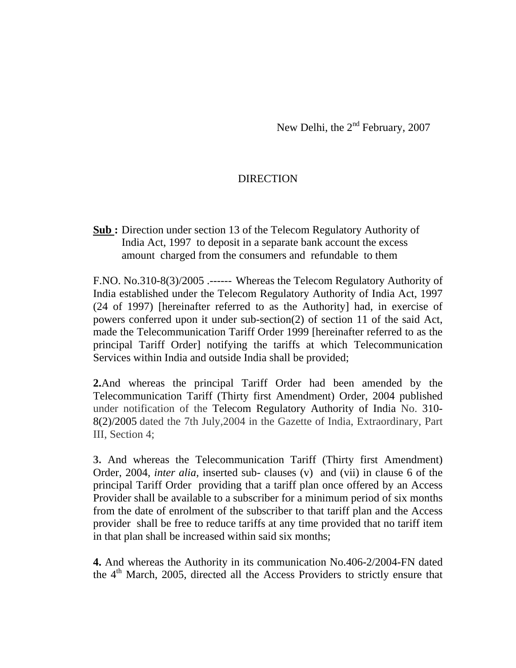New Delhi, the  $2<sup>nd</sup>$  February, 2007

## DIRECTION

**Sub :** Direction under section 13 of the Telecom Regulatory Authority of India Act, 1997 to deposit in a separate bank account the excess amount charged from the consumers and refundable to them

F.NO. No.310-8(3)/2005 .------ Whereas the Telecom Regulatory Authority of India established under the Telecom Regulatory Authority of India Act, 1997 (24 of 1997) [hereinafter referred to as the Authority] had, in exercise of powers conferred upon it under sub-section(2) of section 11 of the said Act, made the Telecommunication Tariff Order 1999 [hereinafter referred to as the principal Tariff Order] notifying the tariffs at which Telecommunication Services within India and outside India shall be provided;

**2.**And whereas the principal Tariff Order had been amended by the Telecommunication Tariff (Thirty first Amendment) Order, 2004 published under notification of the Telecom Regulatory Authority of India No. 310- 8(2)/2005 dated the 7th July,2004 in the Gazette of India, Extraordinary, Part III, Section 4;

**3.** And whereas the Telecommunication Tariff (Thirty first Amendment) Order, 2004, *inter alia,* inserted sub- clauses (v) and (vii) in clause 6 of the principal Tariff Order providing that a tariff plan once offered by an Access Provider shall be available to a subscriber for a minimum period of six months from the date of enrolment of the subscriber to that tariff plan and the Access provider shall be free to reduce tariffs at any time provided that no tariff item in that plan shall be increased within said six months;

**4.** And whereas the Authority in its communication No.406-2/2004-FN dated the  $4<sup>th</sup>$  March, 2005, directed all the Access Providers to strictly ensure that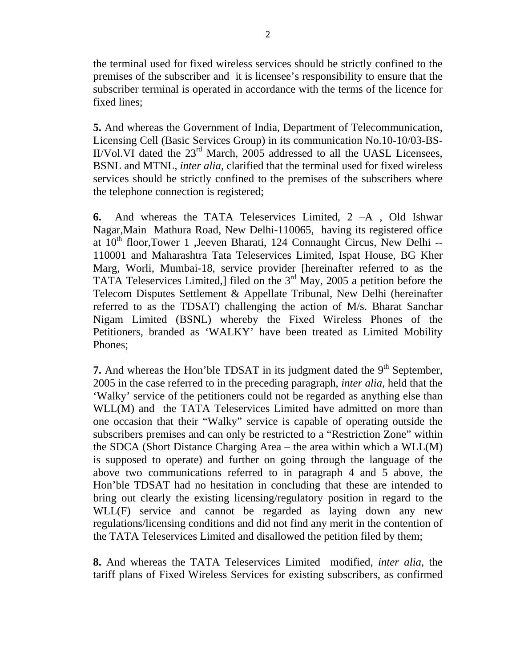the terminal used for fixed wireless services should be strictly confined to the premises of the subscriber and it is licensee's responsibility to ensure that the subscriber terminal is operated in accordance with the terms of the licence for fixed lines;

**5.** And whereas the Government of India, Department of Telecommunication, Licensing Cell (Basic Services Group) in its communication No.10-10/03-BS-II/Vol.VI dated the  $23<sup>rd</sup>$  March, 2005 addressed to all the UASL Licensees, BSNL and MTNL, *inter alia,* clarified that the terminal used for fixed wireless services should be strictly confined to the premises of the subscribers where the telephone connection is registered;

**6.** And whereas the TATA Teleservices Limited, 2 –A , Old Ishwar Nagar,Main Mathura Road, New Delhi-110065, having its registered office at  $10<sup>th</sup>$  floor, Tower 1 , Jeeven Bharati, 124 Connaught Circus, New Delhi --110001 and Maharashtra Tata Teleservices Limited, Ispat House, BG Kher Marg, Worli, Mumbai-18, service provider [hereinafter referred to as the TATA Teleservices Limited,] filed on the  $3<sup>rd</sup>$  May, 2005 a petition before the Telecom Disputes Settlement & Appellate Tribunal, New Delhi (hereinafter referred to as the TDSAT) challenging the action of M/s. Bharat Sanchar Nigam Limited (BSNL) whereby the Fixed Wireless Phones of the Petitioners, branded as 'WALKY' have been treated as Limited Mobility Phones;

**7.** And whereas the Hon'ble TDSAT in its judgment dated the 9<sup>th</sup> September, 2005 in the case referred to in the preceding paragraph, *inter alia,* held that the 'Walky' service of the petitioners could not be regarded as anything else than WLL(M) and the TATA Teleservices Limited have admitted on more than one occasion that their "Walky" service is capable of operating outside the subscribers premises and can only be restricted to a "Restriction Zone" within the SDCA (Short Distance Charging Area – the area within which a WLL(M) is supposed to operate) and further on going through the language of the above two communications referred to in paragraph 4 and 5 above, the Hon'ble TDSAT had no hesitation in concluding that these are intended to bring out clearly the existing licensing/regulatory position in regard to the WLL(F) service and cannot be regarded as laying down any new regulations/licensing conditions and did not find any merit in the contention of the TATA Teleservices Limited and disallowed the petition filed by them;

**8.** And whereas the TATA Teleservices Limited modified, *inter alia,* the tariff plans of Fixed Wireless Services for existing subscribers, as confirmed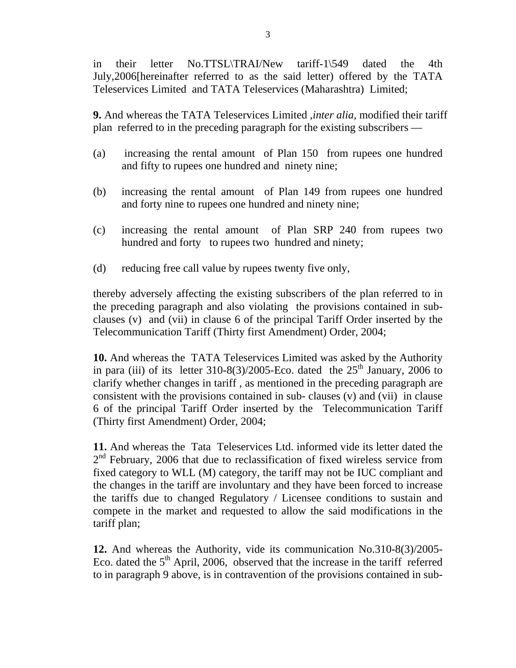in their letter No.TTSL\TRAI/New tariff-1\549 dated the 4th July,2006[hereinafter referred to as the said letter) offered by the TATA Teleservices Limited and TATA Teleservices (Maharashtra) Limited;

**9.** And whereas the TATA Teleservices Limited ,*inter alia,* modified their tariff plan referred to in the preceding paragraph for the existing subscribers —

- (a) increasing the rental amount of Plan 150 from rupees one hundred and fifty to rupees one hundred and ninety nine;
- (b) increasing the rental amount of Plan 149 from rupees one hundred and forty nine to rupees one hundred and ninety nine;
- (c) increasing the rental amount of Plan SRP 240 from rupees two hundred and forty to rupees two hundred and ninety;
- (d) reducing free call value by rupees twenty five only,

thereby adversely affecting the existing subscribers of the plan referred to in the preceding paragraph and also violating the provisions contained in subclauses (v) and (vii) in clause 6 of the principal Tariff Order inserted by the Telecommunication Tariff (Thirty first Amendment) Order, 2004;

**10.** And whereas the TATA Teleservices Limited was asked by the Authority in para (iii) of its letter  $310-8(3)/2005$ -Eco. dated the  $25<sup>th</sup>$  January, 2006 to clarify whether changes in tariff , as mentioned in the preceding paragraph are consistent with the provisions contained in sub- clauses (v) and (vii) in clause 6 of the principal Tariff Order inserted by the Telecommunication Tariff (Thirty first Amendment) Order, 2004;

**11.** And whereas the Tata Teleservices Ltd. informed vide its letter dated the  $2<sup>nd</sup>$  February, 2006 that due to reclassification of fixed wireless service from fixed category to WLL (M) category, the tariff may not be IUC compliant and the changes in the tariff are involuntary and they have been forced to increase the tariffs due to changed Regulatory / Licensee conditions to sustain and compete in the market and requested to allow the said modifications in the tariff plan;

**12.** And whereas the Authority, vide its communication No.310-8(3)/2005- Eco. dated the  $5<sup>th</sup>$  April, 2006, observed that the increase in the tariff referred to in paragraph 9 above, is in contravention of the provisions contained in sub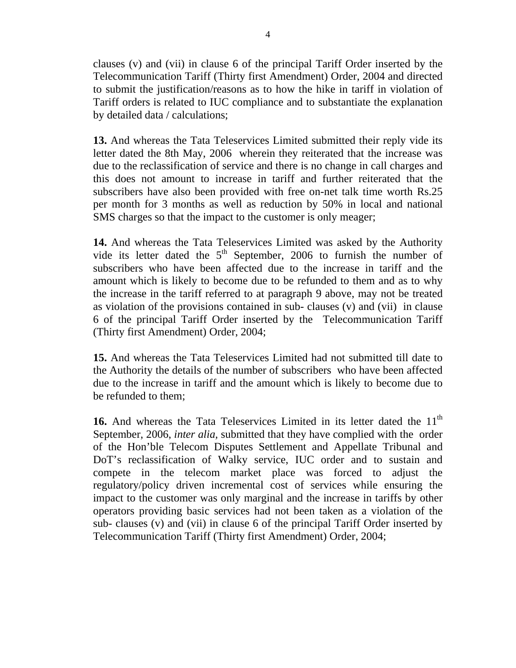clauses (v) and (vii) in clause 6 of the principal Tariff Order inserted by the Telecommunication Tariff (Thirty first Amendment) Order, 2004 and directed to submit the justification/reasons as to how the hike in tariff in violation of Tariff orders is related to IUC compliance and to substantiate the explanation by detailed data / calculations;

**13.** And whereas the Tata Teleservices Limited submitted their reply vide its letter dated the 8th May, 2006 wherein they reiterated that the increase was due to the reclassification of service and there is no change in call charges and this does not amount to increase in tariff and further reiterated that the subscribers have also been provided with free on-net talk time worth Rs.25 per month for 3 months as well as reduction by 50% in local and national SMS charges so that the impact to the customer is only meager;

**14.** And whereas the Tata Teleservices Limited was asked by the Authority vide its letter dated the  $5<sup>th</sup>$  September, 2006 to furnish the number of subscribers who have been affected due to the increase in tariff and the amount which is likely to become due to be refunded to them and as to why the increase in the tariff referred to at paragraph 9 above, may not be treated as violation of the provisions contained in sub- clauses (v) and (vii) in clause 6 of the principal Tariff Order inserted by the Telecommunication Tariff (Thirty first Amendment) Order, 2004;

**15.** And whereas the Tata Teleservices Limited had not submitted till date to the Authority the details of the number of subscribers who have been affected due to the increase in tariff and the amount which is likely to become due to be refunded to them;

16. And whereas the Tata Teleservices Limited in its letter dated the 11<sup>th</sup> September, 2006, *inter alia,* submitted that they have complied with the order of the Hon'ble Telecom Disputes Settlement and Appellate Tribunal and DoT's reclassification of Walky service, IUC order and to sustain and compete in the telecom market place was forced to adjust the regulatory/policy driven incremental cost of services while ensuring the impact to the customer was only marginal and the increase in tariffs by other operators providing basic services had not been taken as a violation of the sub- clauses (v) and (vii) in clause 6 of the principal Tariff Order inserted by Telecommunication Tariff (Thirty first Amendment) Order, 2004;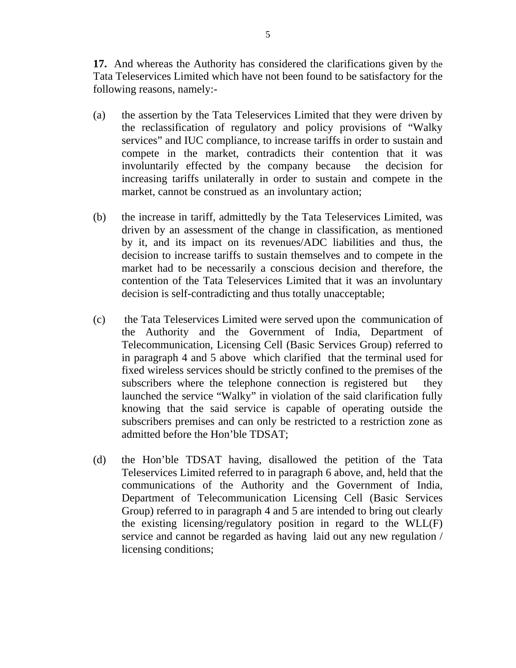**17.** And whereas the Authority has considered the clarifications given by the Tata Teleservices Limited which have not been found to be satisfactory for the following reasons, namely:-

- (a) the assertion by the Tata Teleservices Limited that they were driven by the reclassification of regulatory and policy provisions of "Walky services" and IUC compliance, to increase tariffs in order to sustain and compete in the market, contradicts their contention that it was involuntarily effected by the company because the decision for increasing tariffs unilaterally in order to sustain and compete in the market, cannot be construed as an involuntary action;
- (b) the increase in tariff, admittedly by the Tata Teleservices Limited, was driven by an assessment of the change in classification, as mentioned by it, and its impact on its revenues/ADC liabilities and thus, the decision to increase tariffs to sustain themselves and to compete in the market had to be necessarily a conscious decision and therefore, the contention of the Tata Teleservices Limited that it was an involuntary decision is self-contradicting and thus totally unacceptable;
- (c) the Tata Teleservices Limited were served upon the communication of the Authority and the Government of India, Department of Telecommunication, Licensing Cell (Basic Services Group) referred to in paragraph 4 and 5 above which clarified that the terminal used for fixed wireless services should be strictly confined to the premises of the subscribers where the telephone connection is registered but they launched the service "Walky" in violation of the said clarification fully knowing that the said service is capable of operating outside the subscribers premises and can only be restricted to a restriction zone as admitted before the Hon'ble TDSAT;
- (d) the Hon'ble TDSAT having, disallowed the petition of the Tata Teleservices Limited referred to in paragraph 6 above, and, held that the communications of the Authority and the Government of India, Department of Telecommunication Licensing Cell (Basic Services Group) referred to in paragraph 4 and 5 are intended to bring out clearly the existing licensing/regulatory position in regard to the WLL(F) service and cannot be regarded as having laid out any new regulation / licensing conditions;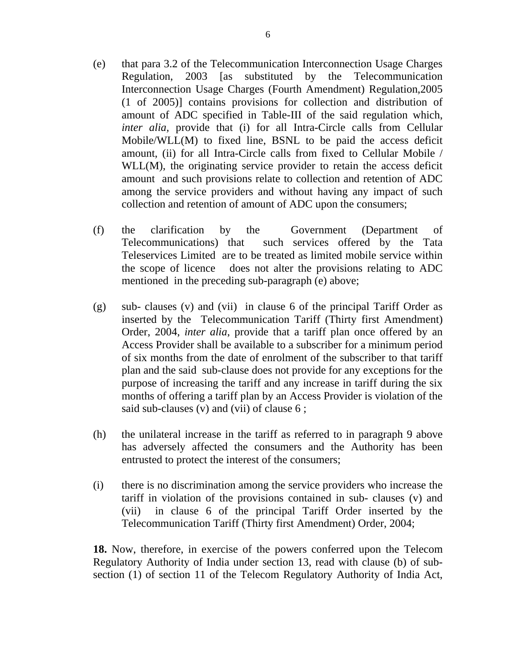- (e) that para 3.2 of the Telecommunication Interconnection Usage Charges Regulation, 2003 [as substituted by the Telecommunication Interconnection Usage Charges (Fourth Amendment) Regulation,2005 (1 of 2005)] contains provisions for collection and distribution of amount of ADC specified in Table-III of the said regulation which, *inter alia,* provide that (i) for all Intra-Circle calls from Cellular Mobile/WLL(M) to fixed line, BSNL to be paid the access deficit amount, (ii) for all Intra-Circle calls from fixed to Cellular Mobile / WLL(M), the originating service provider to retain the access deficit amount and such provisions relate to collection and retention of ADC among the service providers and without having any impact of such collection and retention of amount of ADC upon the consumers;
- (f) the clarification by the Government (Department of Telecommunications) that such services offered by the Tata Teleservices Limited are to be treated as limited mobile service within the scope of licence does not alter the provisions relating to ADC mentioned in the preceding sub-paragraph (e) above;
- (g) sub- clauses (v) and (vii) in clause 6 of the principal Tariff Order as inserted by the Telecommunication Tariff (Thirty first Amendment) Order, 2004, *inter alia*, provide that a tariff plan once offered by an Access Provider shall be available to a subscriber for a minimum period of six months from the date of enrolment of the subscriber to that tariff plan and the said sub-clause does not provide for any exceptions for the purpose of increasing the tariff and any increase in tariff during the six months of offering a tariff plan by an Access Provider is violation of the said sub-clauses (v) and (vii) of clause 6;
- (h) the unilateral increase in the tariff as referred to in paragraph 9 above has adversely affected the consumers and the Authority has been entrusted to protect the interest of the consumers;
- (i) there is no discrimination among the service providers who increase the tariff in violation of the provisions contained in sub- clauses (v) and (vii) in clause 6 of the principal Tariff Order inserted by the Telecommunication Tariff (Thirty first Amendment) Order, 2004;

**18.** Now, therefore, in exercise of the powers conferred upon the Telecom Regulatory Authority of India under section 13, read with clause (b) of subsection (1) of section 11 of the Telecom Regulatory Authority of India Act,